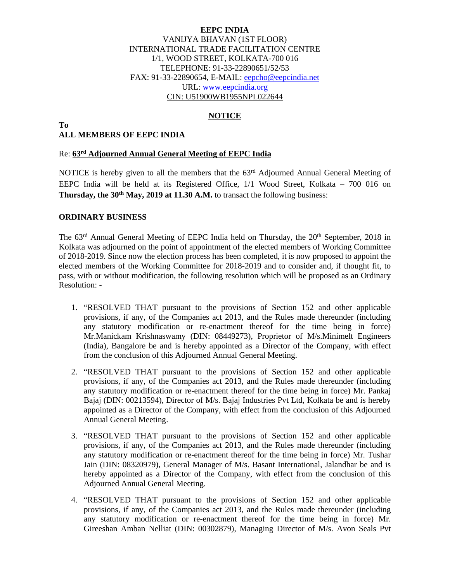## **EEPC INDIA**  VANIJYA BHAVAN (1ST FLOOR) INTERNATIONAL TRADE FACILITATION CENTRE 1/1, WOOD STREET, KOLKATA-700 016 TELEPHONE: 91-33-22890651/52/53 FAX: 91-33-22890654, E-MAIL: eepcho@eepcindia.net URL: www.eepcindia.org CIN: U51900WB1955NPL022644

## **NOTICE**

#### **To ALL MEMBERS OF EEPC INDIA**

#### Re: **63rd Adjourned Annual General Meeting of EEPC India**

NOTICE is hereby given to all the members that the 63<sup>rd</sup> Adjourned Annual General Meeting of EEPC India will be held at its Registered Office, 1/1 Wood Street, Kolkata – 700 016 on **Thursday, the 30<sup>th</sup> May, 2019 at 11.30 A.M.** to transact the following business:

### **ORDINARY BUSINESS**

The 63<sup>rd</sup> Annual General Meeting of EEPC India held on Thursday, the 20<sup>th</sup> September, 2018 in Kolkata was adjourned on the point of appointment of the elected members of Working Committee of 2018-2019. Since now the election process has been completed, it is now proposed to appoint the elected members of the Working Committee for 2018-2019 and to consider and, if thought fit, to pass, with or without modification, the following resolution which will be proposed as an Ordinary Resolution: -

- 1. "RESOLVED THAT pursuant to the provisions of Section 152 and other applicable provisions, if any, of the Companies act 2013, and the Rules made thereunder (including any statutory modification or re-enactment thereof for the time being in force) Mr.Manickam Krishnaswamy (DIN: 08449273), Proprietor of M/s.Minimelt Engineers (India), Bangalore be and is hereby appointed as a Director of the Company, with effect from the conclusion of this Adjourned Annual General Meeting.
- 2. "RESOLVED THAT pursuant to the provisions of Section 152 and other applicable provisions, if any, of the Companies act 2013, and the Rules made thereunder (including any statutory modification or re-enactment thereof for the time being in force) Mr. Pankaj Bajaj (DIN: 00213594), Director of M/s. Bajaj Industries Pvt Ltd, Kolkata be and is hereby appointed as a Director of the Company, with effect from the conclusion of this Adjourned Annual General Meeting.
- 3. "RESOLVED THAT pursuant to the provisions of Section 152 and other applicable provisions, if any, of the Companies act 2013, and the Rules made thereunder (including any statutory modification or re-enactment thereof for the time being in force) Mr. Tushar Jain (DIN: 08320979), General Manager of M/s. Basant International, Jalandhar be and is hereby appointed as a Director of the Company, with effect from the conclusion of this Adjourned Annual General Meeting.
- 4. "RESOLVED THAT pursuant to the provisions of Section 152 and other applicable provisions, if any, of the Companies act 2013, and the Rules made thereunder (including any statutory modification or re-enactment thereof for the time being in force) Mr. Gireeshan Amban Nelliat (DIN: 00302879), Managing Director of M/s. Avon Seals Pvt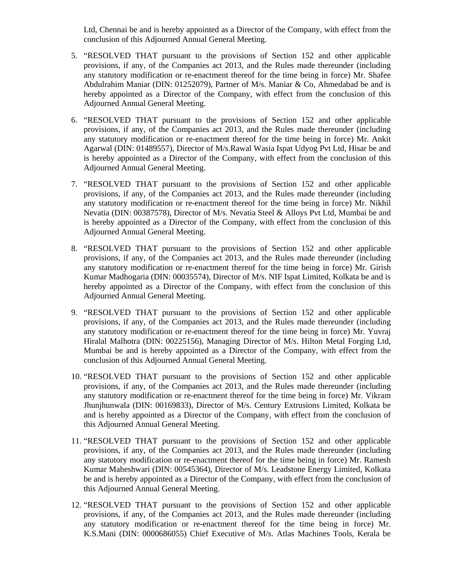Ltd, Chennai be and is hereby appointed as a Director of the Company, with effect from the conclusion of this Adjourned Annual General Meeting.

- 5. "RESOLVED THAT pursuant to the provisions of Section 152 and other applicable provisions, if any, of the Companies act 2013, and the Rules made thereunder (including any statutory modification or re-enactment thereof for the time being in force) Mr. Shafee Abdulrahim Maniar (DIN: 01252079), Partner of M/s. Maniar & Co, Ahmedabad be and is hereby appointed as a Director of the Company, with effect from the conclusion of this Adjourned Annual General Meeting.
- 6. "RESOLVED THAT pursuant to the provisions of Section 152 and other applicable provisions, if any, of the Companies act 2013, and the Rules made thereunder (including any statutory modification or re-enactment thereof for the time being in force) Mr. Ankit Agarwal (DIN: 01489557), Director of M/s.Rawal Wasia Ispat Udyog Pvt Ltd, Hisar be and is hereby appointed as a Director of the Company, with effect from the conclusion of this Adjourned Annual General Meeting.
- 7. "RESOLVED THAT pursuant to the provisions of Section 152 and other applicable provisions, if any, of the Companies act 2013, and the Rules made thereunder (including any statutory modification or re-enactment thereof for the time being in force) Mr. Nikhil Nevatia (DIN: 00387578), Director of M/s. Nevatia Steel & Alloys Pvt Ltd, Mumbai be and is hereby appointed as a Director of the Company, with effect from the conclusion of this Adjourned Annual General Meeting.
- 8. "RESOLVED THAT pursuant to the provisions of Section 152 and other applicable provisions, if any, of the Companies act 2013, and the Rules made thereunder (including any statutory modification or re-enactment thereof for the time being in force) Mr. Girish Kumar Madhogaria (DIN: 00035574), Director of M/s. NIF Ispat Limited, Kolkata be and is hereby appointed as a Director of the Company, with effect from the conclusion of this Adjourned Annual General Meeting.
- 9. "RESOLVED THAT pursuant to the provisions of Section 152 and other applicable provisions, if any, of the Companies act 2013, and the Rules made thereunder (including any statutory modification or re-enactment thereof for the time being in force) Mr. Yuvraj Hiralal Malhotra (DIN: 00225156), Managing Director of M/s. Hilton Metal Forging Ltd, Mumbai be and is hereby appointed as a Director of the Company, with effect from the conclusion of this Adjourned Annual General Meeting.
- 10. "RESOLVED THAT pursuant to the provisions of Section 152 and other applicable provisions, if any, of the Companies act 2013, and the Rules made thereunder (including any statutory modification or re-enactment thereof for the time being in force) Mr. Vikram Jhunjhunwala (DIN: 00169833), Director of M/s. Century Extrusions Limited, Kolkata be and is hereby appointed as a Director of the Company, with effect from the conclusion of this Adjourned Annual General Meeting.
- 11. "RESOLVED THAT pursuant to the provisions of Section 152 and other applicable provisions, if any, of the Companies act 2013, and the Rules made thereunder (including any statutory modification or re-enactment thereof for the time being in force) Mr. Ramesh Kumar Maheshwari (DIN: 00545364), Director of M/s. Leadstone Energy Limited, Kolkata be and is hereby appointed as a Director of the Company, with effect from the conclusion of this Adjourned Annual General Meeting.
- 12. "RESOLVED THAT pursuant to the provisions of Section 152 and other applicable provisions, if any, of the Companies act 2013, and the Rules made thereunder (including any statutory modification or re-enactment thereof for the time being in force) Mr. K.S.Mani (DIN: 0000686055) Chief Executive of M/s. Atlas Machines Tools, Kerala be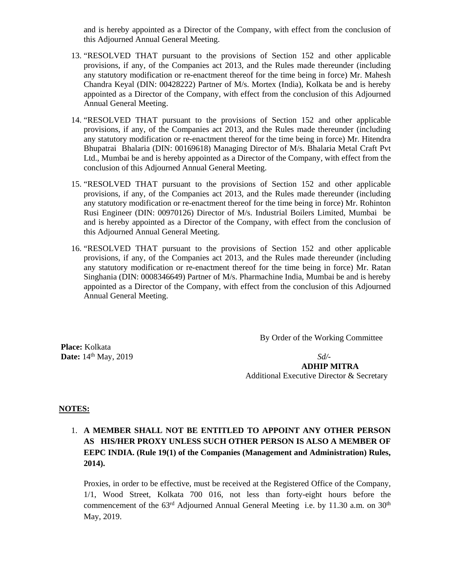and is hereby appointed as a Director of the Company, with effect from the conclusion of this Adjourned Annual General Meeting.

- 13. "RESOLVED THAT pursuant to the provisions of Section 152 and other applicable provisions, if any, of the Companies act 2013, and the Rules made thereunder (including any statutory modification or re-enactment thereof for the time being in force) Mr. Mahesh Chandra Keyal (DIN: 00428222) Partner of M/s. Mortex (India), Kolkata be and is hereby appointed as a Director of the Company, with effect from the conclusion of this Adjourned Annual General Meeting.
- 14. "RESOLVED THAT pursuant to the provisions of Section 152 and other applicable provisions, if any, of the Companies act 2013, and the Rules made thereunder (including any statutory modification or re-enactment thereof for the time being in force) Mr. Hitendra Bhupatrai Bhalaria (DIN: 00169618) Managing Director of M/s. Bhalaria Metal Craft Pvt Ltd., Mumbai be and is hereby appointed as a Director of the Company, with effect from the conclusion of this Adjourned Annual General Meeting.
- 15. "RESOLVED THAT pursuant to the provisions of Section 152 and other applicable provisions, if any, of the Companies act 2013, and the Rules made thereunder (including any statutory modification or re-enactment thereof for the time being in force) Mr. Rohinton Rusi Engineer (DIN: 00970126) Director of M/s. Industrial Boilers Limited, Mumbai be and is hereby appointed as a Director of the Company, with effect from the conclusion of this Adjourned Annual General Meeting.
- 16. "RESOLVED THAT pursuant to the provisions of Section 152 and other applicable provisions, if any, of the Companies act 2013, and the Rules made thereunder (including any statutory modification or re-enactment thereof for the time being in force) Mr. Ratan Singhania (DIN: 0008346649) Partner of M/s. Pharmachine India, Mumbai be and is hereby appointed as a Director of the Company, with effect from the conclusion of this Adjourned Annual General Meeting.

By Order of the Working Committee

 **Place:** Kolkata **Date:**  $14^{th}$  May, 2019 *Sd*/-

 **ADHIP MITRA**  Additional Executive Director & Secretary

#### **NOTES:**

1. **A MEMBER SHALL NOT BE ENTITLED TO APPOINT ANY OTHER PERSON AS HIS/HER PROXY UNLESS SUCH OTHER PERSON IS ALSO A MEMBER OF EEPC INDIA. (Rule 19(1) of the Companies (Management and Administration) Rules, 2014).** 

Proxies, in order to be effective, must be received at the Registered Office of the Company, 1/1, Wood Street, Kolkata 700 016, not less than forty-eight hours before the commencement of the 63<sup>rd</sup> Adjourned Annual General Meeting i.e. by 11.30 a.m. on 30<sup>th</sup> May, 2019.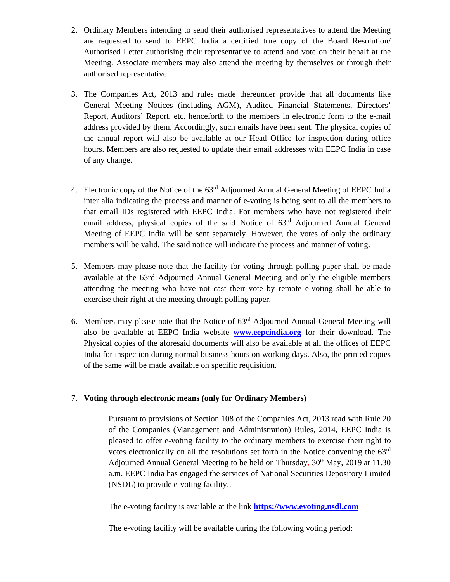- 2. Ordinary Members intending to send their authorised representatives to attend the Meeting are requested to send to EEPC India a certified true copy of the Board Resolution/ Authorised Letter authorising their representative to attend and vote on their behalf at the Meeting. Associate members may also attend the meeting by themselves or through their authorised representative.
- 3. The Companies Act, 2013 and rules made thereunder provide that all documents like General Meeting Notices (including AGM), Audited Financial Statements, Directors' Report, Auditors' Report, etc. henceforth to the members in electronic form to the e-mail address provided by them. Accordingly, such emails have been sent. The physical copies of the annual report will also be available at our Head Office for inspection during office hours. Members are also requested to update their email addresses with EEPC India in case of any change.
- 4. Electronic copy of the Notice of the 63<sup>rd</sup> Adjourned Annual General Meeting of EEPC India inter alia indicating the process and manner of e-voting is being sent to all the members to that email IDs registered with EEPC India. For members who have not registered their email address, physical copies of the said Notice of 63rd Adjourned Annual General Meeting of EEPC India will be sent separately. However, the votes of only the ordinary members will be valid. The said notice will indicate the process and manner of voting.
- 5. Members may please note that the facility for voting through polling paper shall be made available at the 63rd Adjourned Annual General Meeting and only the eligible members attending the meeting who have not cast their vote by remote e-voting shall be able to exercise their right at the meeting through polling paper.
- 6. Members may please note that the Notice of 63rd Adjourned Annual General Meeting will also be available at EEPC India website **www.eepcindia.org** for their download. The Physical copies of the aforesaid documents will also be available at all the offices of EEPC India for inspection during normal business hours on working days. Also, the printed copies of the same will be made available on specific requisition.

## 7. **Voting through electronic means (only for Ordinary Members)**

Pursuant to provisions of Section 108 of the Companies Act, 2013 read with Rule 20 of the Companies (Management and Administration) Rules, 2014, EEPC India is pleased to offer e-voting facility to the ordinary members to exercise their right to votes electronically on all the resolutions set forth in the Notice convening the 63rd Adjourned Annual General Meeting to be held on Thursday,  $30<sup>th</sup>$  May, 2019 at 11.30 a.m. EEPC India has engaged the services of National Securities Depository Limited (NSDL) to provide e-voting facility..

The e-voting facility is available at the link **https://www.evoting.nsdl.com**

The e-voting facility will be available during the following voting period: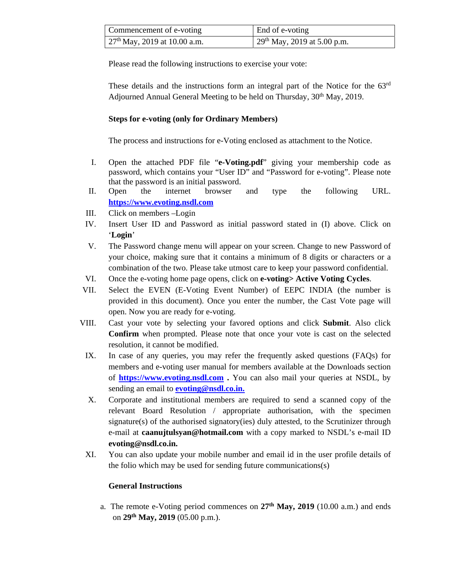| Commencement of e-voting       | End of e-voting                         |
|--------------------------------|-----------------------------------------|
| $27th$ May, 2019 at 10.00 a.m. | 29 <sup>th</sup> May, 2019 at 5.00 p.m. |

Please read the following instructions to exercise your vote:

These details and the instructions form an integral part of the Notice for the 63rd Adjourned Annual General Meeting to be held on Thursday,  $30<sup>th</sup>$  May, 2019.

## **Steps for e-voting (only for Ordinary Members)**

The process and instructions for e-Voting enclosed as attachment to the Notice.

- I. Open the attached PDF file "**e-Voting.pdf**" giving your membership code as password, which contains your "User ID" and "Password for e-voting". Please note that the password is an initial password.
- II. Open the internet browser and type the following URL. **https://www.evoting.nsdl.com**
- III. Click on members –Login
- IV. Insert User ID and Password as initial password stated in (I) above. Click on '**Login**'
- V. The Password change menu will appear on your screen. Change to new Password of your choice, making sure that it contains a minimum of 8 digits or characters or a combination of the two. Please take utmost care to keep your password confidential.
- VI. Once the e-voting home page opens, click on **e-voting> Active Voting Cycles**.
- VII. Select the EVEN (E-Voting Event Number) of EEPC INDIA (the number is provided in this document). Once you enter the number, the Cast Vote page will open. Now you are ready for e-voting.
- VIII. Cast your vote by selecting your favored options and click **Submit**. Also click **Confirm** when prompted. Please note that once your vote is cast on the selected resolution, it cannot be modified.
	- IX. In case of any queries, you may refer the frequently asked questions (FAQs) for members and e-voting user manual for members available at the Downloads section of **https://www.evoting.nsdl.com .** You can also mail your queries at NSDL, by sending an email to **evoting@nsdl.co.in.**
	- X. Corporate and institutional members are required to send a scanned copy of the relevant Board Resolution / appropriate authorisation, with the specimen signature(s) of the authorised signatory(ies) duly attested, to the Scrutinizer through e-mail at **caanujtulsyan@hotmail.com** with a copy marked to NSDL's e-mail ID **evoting@nsdl.co.in.**
	- XI. You can also update your mobile number and email id in the user profile details of the folio which may be used for sending future communications(s)

#### **General Instructions**

a. The remote e-Voting period commences on **27th May, 2019** (10.00 a.m.) and ends on **29th May, 2019** (05.00 p.m.).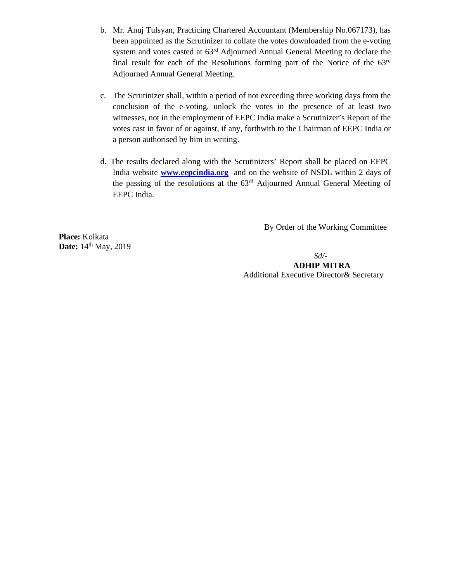- b. Mr. Anuj Tulsyan, Practicing Chartered Accountant (Membership No.067173), has been appointed as the Scrutinizer to collate the votes downloaded from the e-voting system and votes casted at 63rd Adjourned Annual General Meeting to declare the final result for each of the Resolutions forming part of the Notice of the 63rd Adjourned Annual General Meeting.
- c. The Scrutinizer shall, within a period of not exceeding three working days from the conclusion of the e-voting, unlock the votes in the presence of at least two witnesses, not in the employment of EEPC India make a Scrutinizer's Report of the votes cast in favor of or against, if any, forthwith to the Chairman of EEPC India or a person authorised by him in writing.
- d. The results declared along with the Scrutinizers' Report shall be placed on EEPC India website **www.eepcindia.org** and on the website of NSDL within 2 days of the passing of the resolutions at the 63rd Adjourned Annual General Meeting of EEPC India.

By Order of the Working Committee

**Place:** Kolkata **Date:** 14<sup>th</sup> May, 2019

*Sd/-*

 **ADHIP MITRA**  Additional Executive Director& Secretary